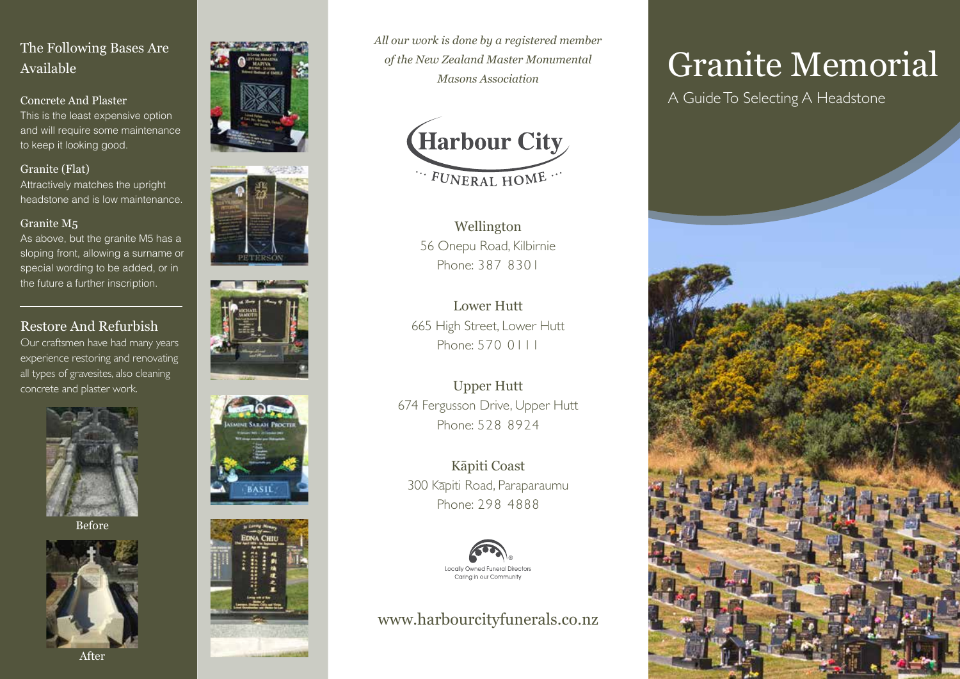# The Following Bases Are Available

Concrete And Plaster This is the least expensive option and will require some maintenance to keep it looking good.

#### Granite (Flat)

Attractively matches the upright headstone and is low maintenance.

#### Granite M5

As above, but the granite M5 has a sloping front, allowing a surname or special wording to be added, or in the future a further inscription.

# Restore And Refurbish

Our craftsmen have had many years experience restoring and renovating all types of gravesites, also cleaning concrete and plaster work.



Before











*All our work is done by a registered member of the New Zealand Master Monumental Masons Association*



Wellington 56 Onepu Road, Kilbirnie Phone: 387 8301

Lower Hutt 665 High Street, Lower Hutt Phone: 570 0111

Upper Hutt 674 Fergusson Drive, Upper Hutt Phone: 528 8924

Kāpiti Coast 300 Kāpiti Road, Paraparaumu Phone: 298 4888



# www.harbourcityfunerals.co.nz

# Granite Memorial

A Guide To Selecting A Headstone